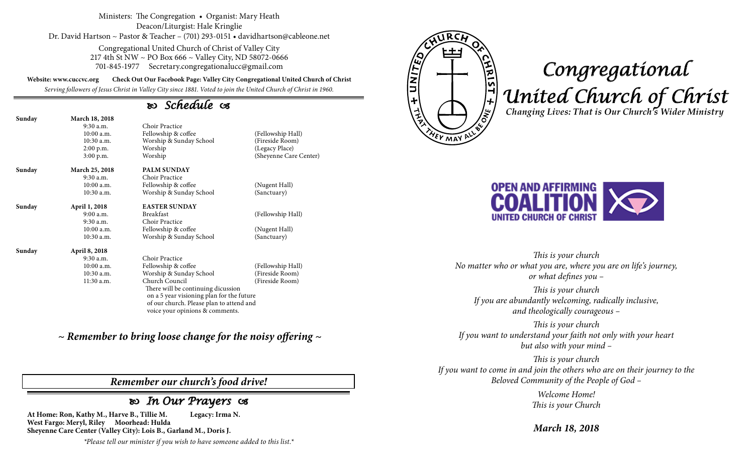#### Ministers: The Congregation • Organist: Mary Heath Deacon/Liturgist: Hale Kringlie Dr. David Hartson ~ Pastor & Teacher – (701) 293-0151 • davidhartson@cableone.net

Congregational United Church of Christ of Valley City 217 4th St NW ~ PO Box 666 ~ Valley City, ND 58072-0666 701-845-1977 Secretary.congregationalucc@gmail.com

**Website: www.cuccvc.org Check Out Our Facebook Page: Valley City Congregational United Church of Christ**

*Serving followers of Jesus Christ in Valley City since 1881. Voted to join the United Church of Christ in 1960.*

# *Schedule*

| Sunday | <b>March 18, 2018</b> |                                           |                        |  |
|--------|-----------------------|-------------------------------------------|------------------------|--|
|        | $9:30$ a.m.           | Choir Practice                            |                        |  |
|        | 10:00a.m.             | Fellowship & coffee                       | (Fellowship Hall)      |  |
|        | $10:30$ a.m.          | Worship & Sunday School                   | (Fireside Room)        |  |
|        | $2:00$ p.m.           | Worship                                   | (Legacy Place)         |  |
|        | $3:00$ p.m.           | Worship                                   | (Sheyenne Care Center) |  |
| Sunday | March 25, 2018        | <b>PALM SUNDAY</b>                        |                        |  |
|        | $9:30$ a.m.           | Choir Practice                            |                        |  |
|        | $10:00$ a.m.          | Fellowship & coffee                       | (Nugent Hall)          |  |
|        | 10:30 a.m.            | Worship & Sunday School                   | (Sanctuary)            |  |
| Sunday | April 1, 2018         | <b>EASTER SUNDAY</b>                      |                        |  |
|        | 9:00 a.m.             | <b>Breakfast</b>                          | (Fellowship Hall)      |  |
|        | $9:30$ a.m.           | Choir Practice                            |                        |  |
|        | $10:00$ a.m.          | Fellowship & coffee                       | (Nugent Hall)          |  |
|        | 10:30 a.m.            | Worship & Sunday School                   | (Sanctuary)            |  |
| Sunday | April 8, 2018         |                                           |                        |  |
|        | 9:30 a.m.             | Choir Practice                            |                        |  |
|        | $10:00$ a.m.          | Fellowship & coffee                       | (Fellowship Hall)      |  |
|        | $10:30$ a.m.          | Worship & Sunday School                   | (Fireside Room)        |  |
|        | $11:30$ a.m.          | Church Council                            | (Fireside Room)        |  |
|        |                       | There will be continuing dicussion        |                        |  |
|        |                       | on a 5 year visioning plan for the future |                        |  |
|        |                       | of our church. Please plan to attend and  |                        |  |
|        |                       | voice your opinions & comments.           |                        |  |

*~ Remember to bring loose change for the noisy offering ~*

### *Remember our church's food drive!*

## *In Our Prayers*

**At Home: Ron, Kathy M., Harve B., Tillie M. Legacy: Irma N. West Fargo: Meryl, Riley Moorhead: Hulda Sheyenne Care Center (Valley City): Lois B., Garland M., Doris J.**

*\*Please tell our minister if you wish to have someone added to this list.\**



# *Congregational United Church of Christ Changing Lives: That is Our Church's Wider Ministry*



*This is your church No matter who or what you are, where you are on life's journey, or what defines you –*

*This is your church If you are abundantly welcoming, radically inclusive, and theologically courageous –*

*This is your church If you want to understand your faith not only with your heart but also with your mind –*

*This is your church If you want to come in and join the others who are on their journey to the Beloved Community of the People of God –*

> *Welcome Home! This is your Church*

*March 18, 2018*